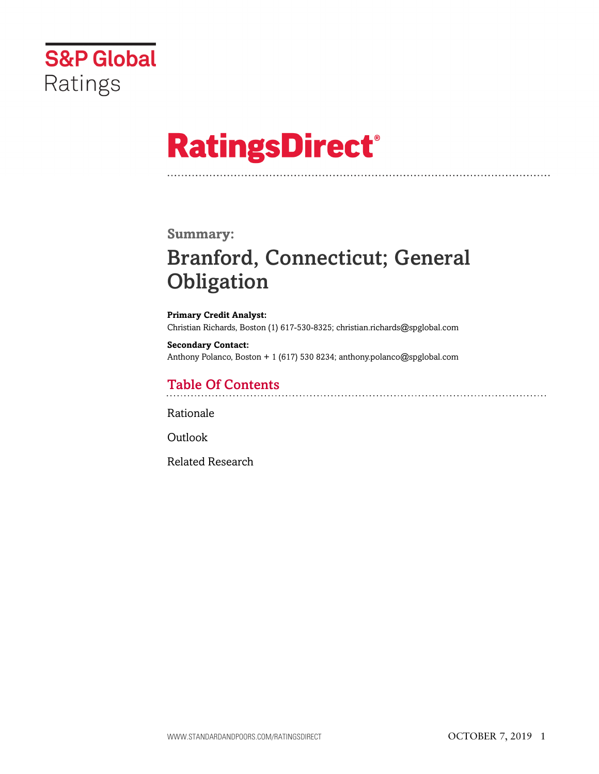

# **RatingsDirect®**

### **Summary:**

# Branford, Connecticut; General **Obligation**

**Primary Credit Analyst:** Christian Richards, Boston (1) 617-530-8325; christian.richards@spglobal.com

**Secondary Contact:** Anthony Polanco, Boston + 1 (617) 530 8234; anthony.polanco@spglobal.com

# Table Of Contents

[Rationale](#page-1-0)

[Outlook](#page-6-0)

[Related Research](#page-6-1)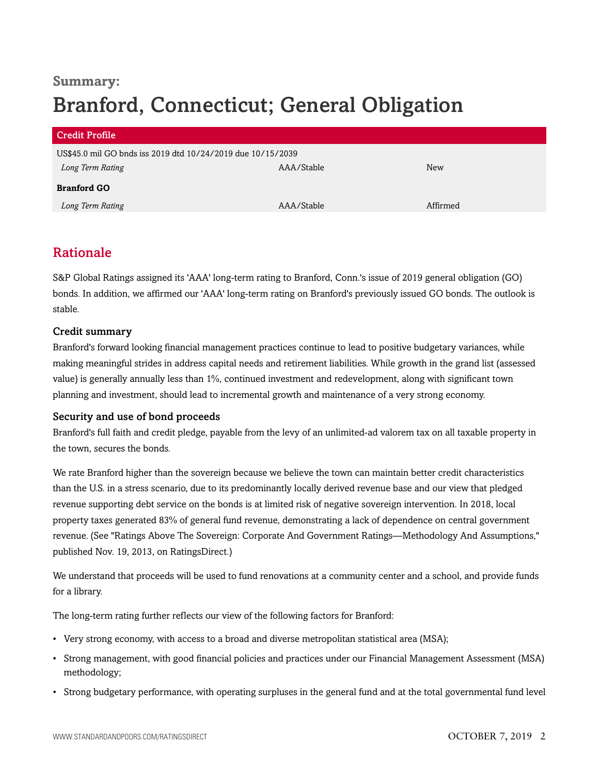# **Summary:** Branford, Connecticut; General Obligation

| <b>Credit Profile</b>                                       |            |          |
|-------------------------------------------------------------|------------|----------|
| US\$45.0 mil GO bnds iss 2019 dtd 10/24/2019 due 10/15/2039 |            |          |
| Long Term Rating                                            | AAA/Stable | New      |
| <b>Branford GO</b>                                          |            |          |
| Long Term Rating                                            | AAA/Stable | Affirmed |

### <span id="page-1-0"></span>Rationale

S&P Global Ratings assigned its 'AAA' long-term rating to Branford, Conn.'s issue of 2019 general obligation (GO) bonds. In addition, we affirmed our 'AAA' long-term rating on Branford's previously issued GO bonds. The outlook is stable.

#### Credit summary

Branford's forward looking financial management practices continue to lead to positive budgetary variances, while making meaningful strides in address capital needs and retirement liabilities. While growth in the grand list (assessed value) is generally annually less than 1%, continued investment and redevelopment, along with significant town planning and investment, should lead to incremental growth and maintenance of a very strong economy.

#### Security and use of bond proceeds

Branford's full faith and credit pledge, payable from the levy of an unlimited-ad valorem tax on all taxable property in the town, secures the bonds.

We rate Branford higher than the sovereign because we believe the town can maintain better credit characteristics than the U.S. in a stress scenario, due to its predominantly locally derived revenue base and our view that pledged revenue supporting debt service on the bonds is at limited risk of negative sovereign intervention. In 2018, local property taxes generated 83% of general fund revenue, demonstrating a lack of dependence on central government revenue. (See "Ratings Above The Sovereign: Corporate And Government Ratings—Methodology And Assumptions," published Nov. 19, 2013, on RatingsDirect.)

We understand that proceeds will be used to fund renovations at a community center and a school, and provide funds for a library.

The long-term rating further reflects our view of the following factors for Branford:

- Very strong economy, with access to a broad and diverse metropolitan statistical area (MSA);
- Strong management, with good financial policies and practices under our Financial Management Assessment (MSA) methodology;
- Strong budgetary performance, with operating surpluses in the general fund and at the total governmental fund level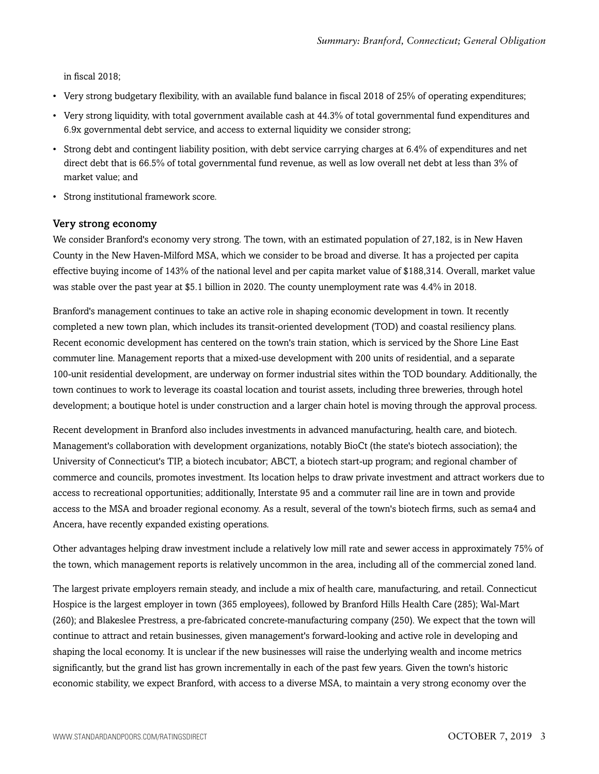in fiscal 2018;

- Very strong budgetary flexibility, with an available fund balance in fiscal 2018 of 25% of operating expenditures;
- Very strong liquidity, with total government available cash at 44.3% of total governmental fund expenditures and 6.9x governmental debt service, and access to external liquidity we consider strong;
- Strong debt and contingent liability position, with debt service carrying charges at 6.4% of expenditures and net direct debt that is 66.5% of total governmental fund revenue, as well as low overall net debt at less than 3% of market value; and
- Strong institutional framework score.

#### Very strong economy

We consider Branford's economy very strong. The town, with an estimated population of 27,182, is in New Haven County in the New Haven-Milford MSA, which we consider to be broad and diverse. It has a projected per capita effective buying income of 143% of the national level and per capita market value of \$188,314. Overall, market value was stable over the past year at \$5.1 billion in 2020. The county unemployment rate was 4.4% in 2018.

Branford's management continues to take an active role in shaping economic development in town. It recently completed a new town plan, which includes its transit-oriented development (TOD) and coastal resiliency plans. Recent economic development has centered on the town's train station, which is serviced by the Shore Line East commuter line. Management reports that a mixed-use development with 200 units of residential, and a separate 100-unit residential development, are underway on former industrial sites within the TOD boundary. Additionally, the town continues to work to leverage its coastal location and tourist assets, including three breweries, through hotel development; a boutique hotel is under construction and a larger chain hotel is moving through the approval process.

Recent development in Branford also includes investments in advanced manufacturing, health care, and biotech. Management's collaboration with development organizations, notably BioCt (the state's biotech association); the University of Connecticut's TIP, a biotech incubator; ABCT, a biotech start-up program; and regional chamber of commerce and councils, promotes investment. Its location helps to draw private investment and attract workers due to access to recreational opportunities; additionally, Interstate 95 and a commuter rail line are in town and provide access to the MSA and broader regional economy. As a result, several of the town's biotech firms, such as sema4 and Ancera, have recently expanded existing operations.

Other advantages helping draw investment include a relatively low mill rate and sewer access in approximately 75% of the town, which management reports is relatively uncommon in the area, including all of the commercial zoned land.

The largest private employers remain steady, and include a mix of health care, manufacturing, and retail. Connecticut Hospice is the largest employer in town (365 employees), followed by Branford Hills Health Care (285); Wal-Mart (260); and Blakeslee Prestress, a pre-fabricated concrete-manufacturing company (250). We expect that the town will continue to attract and retain businesses, given management's forward-looking and active role in developing and shaping the local economy. It is unclear if the new businesses will raise the underlying wealth and income metrics significantly, but the grand list has grown incrementally in each of the past few years. Given the town's historic economic stability, we expect Branford, with access to a diverse MSA, to maintain a very strong economy over the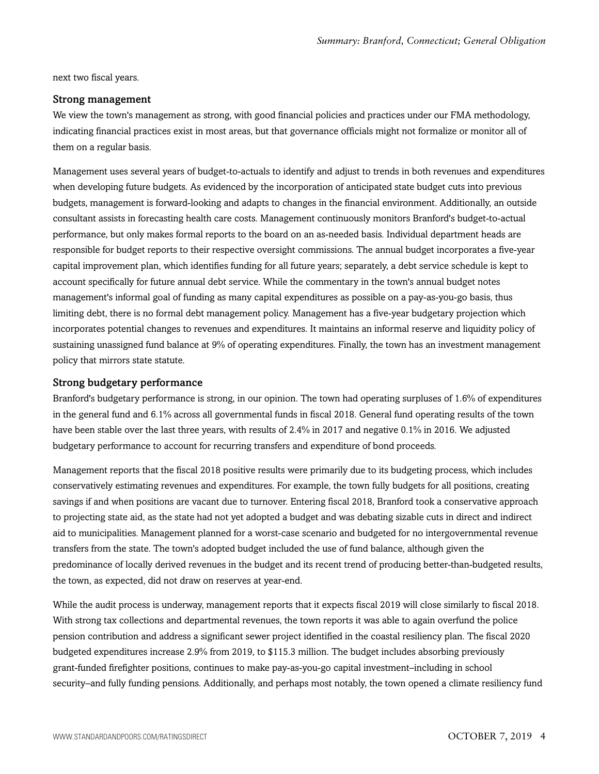next two fiscal years.

#### Strong management

We view the town's management as strong, with good financial policies and practices under our FMA methodology, indicating financial practices exist in most areas, but that governance officials might not formalize or monitor all of them on a regular basis.

Management uses several years of budget-to-actuals to identify and adjust to trends in both revenues and expenditures when developing future budgets. As evidenced by the incorporation of anticipated state budget cuts into previous budgets, management is forward-looking and adapts to changes in the financial environment. Additionally, an outside consultant assists in forecasting health care costs. Management continuously monitors Branford's budget-to-actual performance, but only makes formal reports to the board on an as-needed basis. Individual department heads are responsible for budget reports to their respective oversight commissions. The annual budget incorporates a five-year capital improvement plan, which identifies funding for all future years; separately, a debt service schedule is kept to account specifically for future annual debt service. While the commentary in the town's annual budget notes management's informal goal of funding as many capital expenditures as possible on a pay-as-you-go basis, thus limiting debt, there is no formal debt management policy. Management has a five-year budgetary projection which incorporates potential changes to revenues and expenditures. It maintains an informal reserve and liquidity policy of sustaining unassigned fund balance at 9% of operating expenditures. Finally, the town has an investment management policy that mirrors state statute.

#### Strong budgetary performance

Branford's budgetary performance is strong, in our opinion. The town had operating surpluses of 1.6% of expenditures in the general fund and 6.1% across all governmental funds in fiscal 2018. General fund operating results of the town have been stable over the last three years, with results of 2.4% in 2017 and negative 0.1% in 2016. We adjusted budgetary performance to account for recurring transfers and expenditure of bond proceeds.

Management reports that the fiscal 2018 positive results were primarily due to its budgeting process, which includes conservatively estimating revenues and expenditures. For example, the town fully budgets for all positions, creating savings if and when positions are vacant due to turnover. Entering fiscal 2018, Branford took a conservative approach to projecting state aid, as the state had not yet adopted a budget and was debating sizable cuts in direct and indirect aid to municipalities. Management planned for a worst-case scenario and budgeted for no intergovernmental revenue transfers from the state. The town's adopted budget included the use of fund balance, although given the predominance of locally derived revenues in the budget and its recent trend of producing better-than-budgeted results, the town, as expected, did not draw on reserves at year-end.

While the audit process is underway, management reports that it expects fiscal 2019 will close similarly to fiscal 2018. With strong tax collections and departmental revenues, the town reports it was able to again overfund the police pension contribution and address a significant sewer project identified in the coastal resiliency plan. The fiscal 2020 budgeted expenditures increase 2.9% from 2019, to \$115.3 million. The budget includes absorbing previously grant-funded firefighter positions, continues to make pay-as-you-go capital investment–including in school security–and fully funding pensions. Additionally, and perhaps most notably, the town opened a climate resiliency fund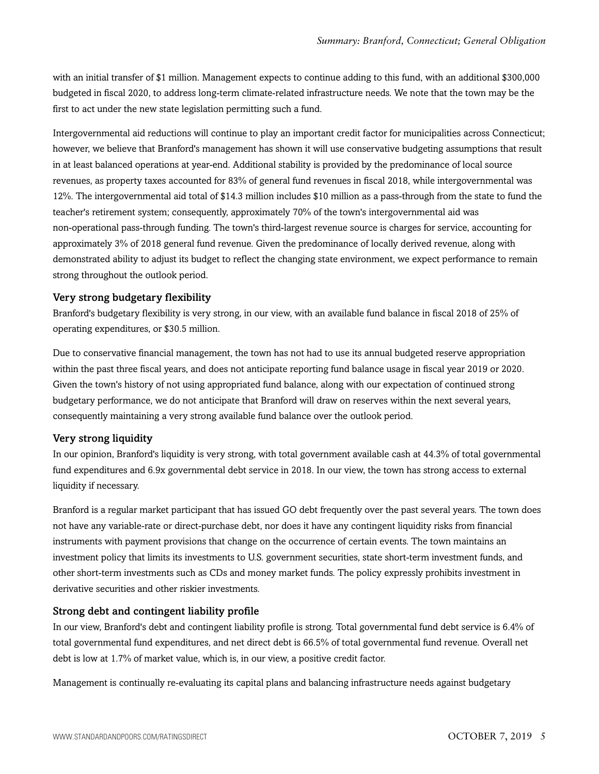with an initial transfer of \$1 million. Management expects to continue adding to this fund, with an additional \$300,000 budgeted in fiscal 2020, to address long-term climate-related infrastructure needs. We note that the town may be the first to act under the new state legislation permitting such a fund.

Intergovernmental aid reductions will continue to play an important credit factor for municipalities across Connecticut; however, we believe that Branford's management has shown it will use conservative budgeting assumptions that result in at least balanced operations at year-end. Additional stability is provided by the predominance of local source revenues, as property taxes accounted for 83% of general fund revenues in fiscal 2018, while intergovernmental was 12%. The intergovernmental aid total of \$14.3 million includes \$10 million as a pass-through from the state to fund the teacher's retirement system; consequently, approximately 70% of the town's intergovernmental aid was non-operational pass-through funding. The town's third-largest revenue source is charges for service, accounting for approximately 3% of 2018 general fund revenue. Given the predominance of locally derived revenue, along with demonstrated ability to adjust its budget to reflect the changing state environment, we expect performance to remain strong throughout the outlook period.

#### Very strong budgetary flexibility

Branford's budgetary flexibility is very strong, in our view, with an available fund balance in fiscal 2018 of 25% of operating expenditures, or \$30.5 million.

Due to conservative financial management, the town has not had to use its annual budgeted reserve appropriation within the past three fiscal years, and does not anticipate reporting fund balance usage in fiscal year 2019 or 2020. Given the town's history of not using appropriated fund balance, along with our expectation of continued strong budgetary performance, we do not anticipate that Branford will draw on reserves within the next several years, consequently maintaining a very strong available fund balance over the outlook period.

#### Very strong liquidity

In our opinion, Branford's liquidity is very strong, with total government available cash at 44.3% of total governmental fund expenditures and 6.9x governmental debt service in 2018. In our view, the town has strong access to external liquidity if necessary.

Branford is a regular market participant that has issued GO debt frequently over the past several years. The town does not have any variable-rate or direct-purchase debt, nor does it have any contingent liquidity risks from financial instruments with payment provisions that change on the occurrence of certain events. The town maintains an investment policy that limits its investments to U.S. government securities, state short-term investment funds, and other short-term investments such as CDs and money market funds. The policy expressly prohibits investment in derivative securities and other riskier investments.

#### Strong debt and contingent liability profile

In our view, Branford's debt and contingent liability profile is strong. Total governmental fund debt service is 6.4% of total governmental fund expenditures, and net direct debt is 66.5% of total governmental fund revenue. Overall net debt is low at 1.7% of market value, which is, in our view, a positive credit factor.

Management is continually re-evaluating its capital plans and balancing infrastructure needs against budgetary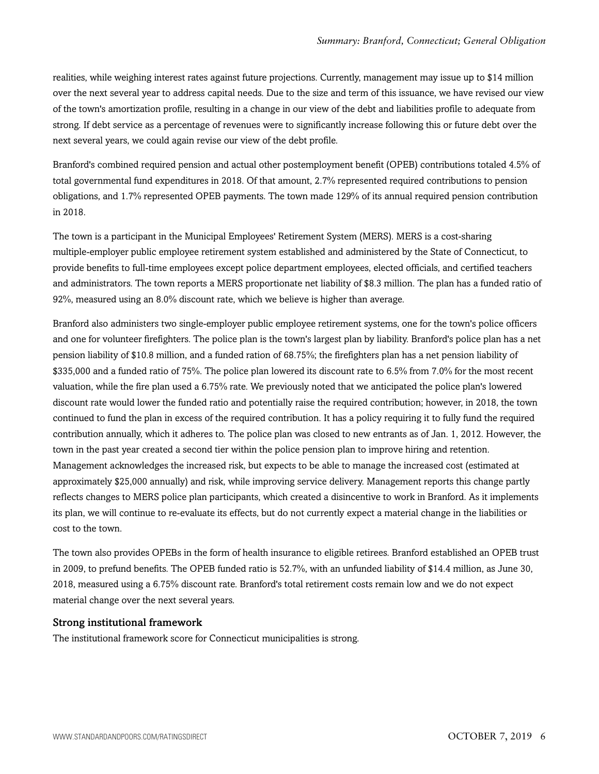realities, while weighing interest rates against future projections. Currently, management may issue up to \$14 million over the next several year to address capital needs. Due to the size and term of this issuance, we have revised our view of the town's amortization profile, resulting in a change in our view of the debt and liabilities profile to adequate from strong. If debt service as a percentage of revenues were to significantly increase following this or future debt over the next several years, we could again revise our view of the debt profile.

Branford's combined required pension and actual other postemployment benefit (OPEB) contributions totaled 4.5% of total governmental fund expenditures in 2018. Of that amount, 2.7% represented required contributions to pension obligations, and 1.7% represented OPEB payments. The town made 129% of its annual required pension contribution in 2018.

The town is a participant in the Municipal Employees' Retirement System (MERS). MERS is a cost-sharing multiple-employer public employee retirement system established and administered by the State of Connecticut, to provide benefits to full-time employees except police department employees, elected officials, and certified teachers and administrators. The town reports a MERS proportionate net liability of \$8.3 million. The plan has a funded ratio of 92%, measured using an 8.0% discount rate, which we believe is higher than average.

Branford also administers two single-employer public employee retirement systems, one for the town's police officers and one for volunteer firefighters. The police plan is the town's largest plan by liability. Branford's police plan has a net pension liability of \$10.8 million, and a funded ration of 68.75%; the firefighters plan has a net pension liability of \$335,000 and a funded ratio of 75%. The police plan lowered its discount rate to 6.5% from 7.0% for the most recent valuation, while the fire plan used a 6.75% rate. We previously noted that we anticipated the police plan's lowered discount rate would lower the funded ratio and potentially raise the required contribution; however, in 2018, the town continued to fund the plan in excess of the required contribution. It has a policy requiring it to fully fund the required contribution annually, which it adheres to. The police plan was closed to new entrants as of Jan. 1, 2012. However, the town in the past year created a second tier within the police pension plan to improve hiring and retention. Management acknowledges the increased risk, but expects to be able to manage the increased cost (estimated at approximately \$25,000 annually) and risk, while improving service delivery. Management reports this change partly reflects changes to MERS police plan participants, which created a disincentive to work in Branford. As it implements its plan, we will continue to re-evaluate its effects, but do not currently expect a material change in the liabilities or cost to the town.

The town also provides OPEBs in the form of health insurance to eligible retirees. Branford established an OPEB trust in 2009, to prefund benefits. The OPEB funded ratio is 52.7%, with an unfunded liability of \$14.4 million, as June 30, 2018, measured using a 6.75% discount rate. Branford's total retirement costs remain low and we do not expect material change over the next several years.

#### Strong institutional framework

The institutional framework score for Connecticut municipalities is strong.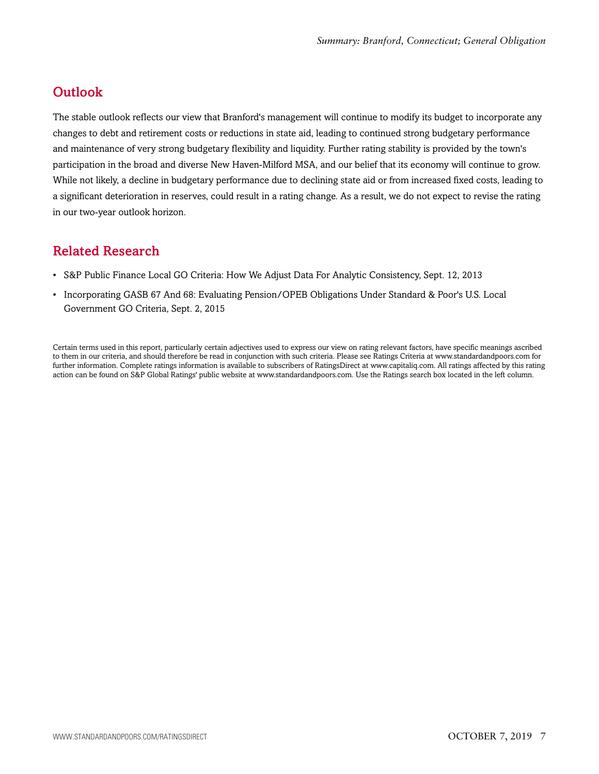# <span id="page-6-0"></span>**Outlook**

The stable outlook reflects our view that Branford's management will continue to modify its budget to incorporate any changes to debt and retirement costs or reductions in state aid, leading to continued strong budgetary performance and maintenance of very strong budgetary flexibility and liquidity. Further rating stability is provided by the town's participation in the broad and diverse New Haven-Milford MSA, and our belief that its economy will continue to grow. While not likely, a decline in budgetary performance due to declining state aid or from increased fixed costs, leading to a significant deterioration in reserves, could result in a rating change. As a result, we do not expect to revise the rating in our two-year outlook horizon.

# <span id="page-6-1"></span>Related Research

- S&P Public Finance Local GO Criteria: How We Adjust Data For Analytic Consistency, Sept. 12, 2013
- Incorporating GASB 67 And 68: Evaluating Pension/OPEB Obligations Under Standard & Poor's U.S. Local Government GO Criteria, Sept. 2, 2015

Certain terms used in this report, particularly certain adjectives used to express our view on rating relevant factors, have specific meanings ascribed to them in our criteria, and should therefore be read in conjunction with such criteria. Please see Ratings Criteria at www.standardandpoors.com for further information. Complete ratings information is available to subscribers of RatingsDirect at www.capitaliq.com. All ratings affected by this rating action can be found on S&P Global Ratings' public website at www.standardandpoors.com. Use the Ratings search box located in the left column.